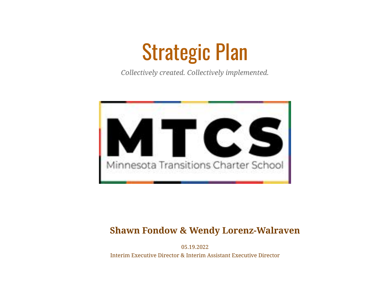# Strategic Plan

*Collectively created. Collectively implemented.*



#### **Shawn Fondow & Wendy Lorenz-Walraven**

05.19.2022

Interim Executive Director & Interim Assistant Executive Director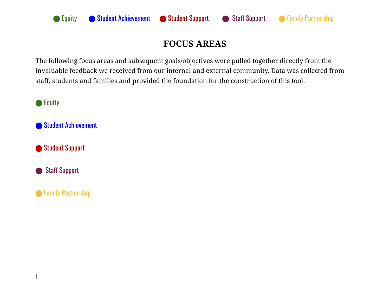

## **FOCUS AREAS**

The following focus areas and subsequent goals/objectives were pulled together directly from the invaluable feedback we received from our internal and external community. Data was collected from staff, students and families and provided the foundation for the construction of this tool.

● Equity

⬤ Student Achievement

**● Student Support** 

⬤ Staff Support

**● Family Partnership**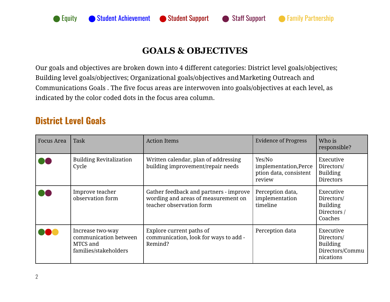

#### **GOALS & OBJECTIVES**

Our goals and objectives are broken down into 4 different categories: District level goals/objectives; Building level goals/objectives; Organizational goals/objectives andMarketing Outreach and Communications Goals . The five focus areas are interwoven into goals/objectives at each level, as indicated by the color coded dots in the focus area column.

#### **District Level Goals**

| <b>Focus Area</b> | <b>Task</b>                                                                    | <b>Action Items</b>                                                                                       | <b>Evidence of Progress</b>                                         | Who is<br>responsible?                                                     |
|-------------------|--------------------------------------------------------------------------------|-----------------------------------------------------------------------------------------------------------|---------------------------------------------------------------------|----------------------------------------------------------------------------|
|                   | <b>Building Revitalization</b><br>Cycle                                        | Written calendar, plan of addressing<br>building improvement/repair needs                                 | Yes/No<br>implementation, Perce<br>ption data, consistent<br>review | Executive<br>Directors/<br><b>Building</b><br>Directors                    |
|                   | Improve teacher<br>observation form                                            | Gather feedback and partners - improve<br>wording and areas of measurement on<br>teacher observation form | Perception data,<br>implementation<br>timeline                      | Executive<br>Directors/<br><b>Building</b><br>Directors /<br>Coaches       |
|                   | Increase two-way<br>communication between<br>MTCS and<br>families/stakeholders | Explore current paths of<br>communication, look for ways to add -<br>Remind?                              | Perception data                                                     | Executive<br>Directors/<br><b>Building</b><br>Directors/Commu<br>nications |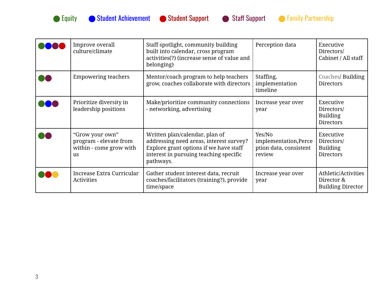



| Improve overall<br>culture/climate                                                | Staff spotlight, community building<br>built into calendar, cross program<br>activities(?) (increase sense of value and<br>belonging)                                      | Perception data                                                     | Executive<br>Directors/<br>Cabinet / All staff                |
|-----------------------------------------------------------------------------------|----------------------------------------------------------------------------------------------------------------------------------------------------------------------------|---------------------------------------------------------------------|---------------------------------------------------------------|
| <b>Empowering teachers</b>                                                        | Mentor/coach program to help teachers<br>grow, coaches collaborate with directors                                                                                          | Staffing,<br>implementation<br>timeline                             | Coaches/ Building<br>Directors                                |
| Prioritize diversity in<br>leadership positions                                   | Make/prioritize community connections<br>- networking, advertising                                                                                                         | Increase year over<br>year                                          | Executive<br>Directors/<br><b>Building</b><br>Directors       |
| "Grow your own"<br>program - elevate from<br>within - come grow with<br><b>us</b> | Written plan/calendar, plan of<br>addressing need areas, interest survey?<br>Explore grant options if we have staff<br>interest in pursuing teaching specific<br>pathways. | Yes/No<br>implementation, Perce<br>ption data, consistent<br>review | Executive<br>Directors/<br><b>Building</b><br>Directors       |
| Increase Extra Curricular<br>Activities                                           | Gather student interest data, recruit<br>coaches/facilitators (training?), provide<br>time/space                                                                           | Increase year over<br>year                                          | Athletic/Activities<br>Director &<br><b>Building Director</b> |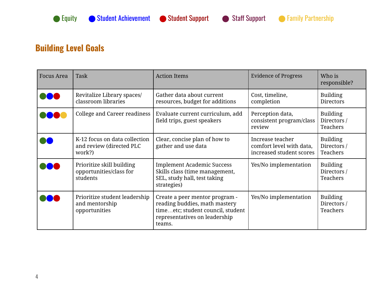

### **Building Level Goals**

| <b>Focus Area</b> | Task                                                                | <b>Action Items</b>                                                                                                                             | <b>Evidence of Progress</b>                                              | Who is<br>responsible?                            |
|-------------------|---------------------------------------------------------------------|-------------------------------------------------------------------------------------------------------------------------------------------------|--------------------------------------------------------------------------|---------------------------------------------------|
|                   | Revitalize Library spaces/<br>classroom libraries                   | Gather data about current<br>resources, budget for additions                                                                                    | Cost, timeline,<br>completion                                            | <b>Building</b><br><b>Directors</b>               |
|                   | College and Career readiness                                        | Evaluate current curriculum, add<br>field trips, guest speakers                                                                                 | Perception data,<br>consistent program/class<br>review                   | <b>Building</b><br>Directors /<br>Teachers        |
|                   | K-12 focus on data collection<br>and review (directed PLC<br>work?) | Clear, concise plan of how to<br>gather and use data                                                                                            | Increase teacher<br>comfort level with data,<br>increased student scores | <b>Building</b><br>Directors /<br>Teachers        |
|                   | Prioritize skill building<br>opportunities/class for<br>students    | <b>Implement Academic Success</b><br>Skills class (time management,<br>SEL, study hall, test taking<br>strategies)                              | Yes/No implementation                                                    | <b>Building</b><br>Directors /<br><b>Teachers</b> |
|                   | Prioritize student leadership<br>and mentorship<br>opportunities    | Create a peer mentor program -<br>reading buddies, math mastery<br>timeetc; student council, student<br>representatives on leadership<br>teams. | Yes/No implementation                                                    | <b>Building</b><br>Directors /<br>Teachers        |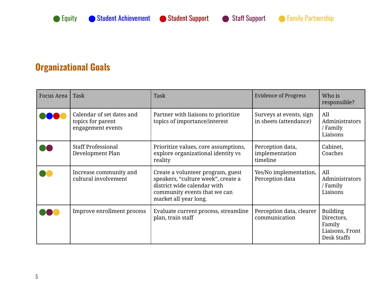

## **Organizational Goals**

| Focus Area | Task                                                                | Task                                                                                                                                                            | <b>Evidence of Progress</b>                       | Who is<br>responsible?                                                    |
|------------|---------------------------------------------------------------------|-----------------------------------------------------------------------------------------------------------------------------------------------------------------|---------------------------------------------------|---------------------------------------------------------------------------|
|            | Calendar of set dates and<br>topics for parent<br>engagement events | Partner with liaisons to prioritize<br>topics of importance/interest                                                                                            | Surveys at events, sign<br>in sheets (attendance) | All<br>Administrators<br>/ Family<br>Liaisons                             |
|            | <b>Staff Professional</b><br>Development Plan                       | Prioritize values, core assumptions,<br>explore organizational identity vs<br>reality                                                                           | Perception data,<br>implementation<br>timeline    | Cabinet,<br>Coaches                                                       |
|            | Increase community and<br>cultural involvement                      | Create a volunteer program, guest<br>speakers, "culture week", create a<br>district wide calendar with<br>community events that we can<br>market all year long. | Yes/No implementation,<br>Perception data         | All<br>Administrators<br>' Family<br>Liaisons                             |
|            | Improve enrollment process                                          | Evaluate current process, streamline<br>plan, train staff                                                                                                       | Perception data, clearer<br>communication         | <b>Building</b><br>Directors,<br>Family<br>Liaisons, Front<br>Desk Staffs |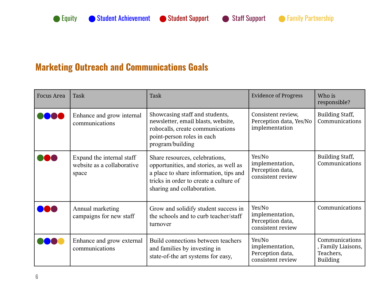## **Marketing Outreach and Communications Goals**

| <b>Focus Area</b> | Task                                                             | <b>Task</b>                                                                                                                                                                                | <b>Evidence of Progress</b>                                        | Who is<br>responsible?                                               |
|-------------------|------------------------------------------------------------------|--------------------------------------------------------------------------------------------------------------------------------------------------------------------------------------------|--------------------------------------------------------------------|----------------------------------------------------------------------|
|                   | Enhance and grow internal<br>communications                      | Showcasing staff and students,<br>newsletter, email blasts, website,<br>robocalls, create communications<br>point-person roles in each<br>program/building                                 | Consistent review,<br>Perception data, Yes/No<br>implementation    | <b>Building Staff,</b><br>Communications                             |
|                   | Expand the internal staff<br>website as a collaborative<br>space | Share resources, celebrations,<br>opportunities, and stories, as well as<br>a place to share information, tips and<br>tricks in order to create a culture of<br>sharing and collaboration. | Yes/No<br>implementation,<br>Perception data,<br>consistent review | <b>Building Staff,</b><br>Communications                             |
|                   | Annual marketing<br>campaigns for new staff                      | Grow and solidify student success in<br>the schools and to curb teacher/staff<br>turnover                                                                                                  | Yes/No<br>implementation,<br>Perception data,<br>consistent review | Communications                                                       |
|                   | Enhance and grow external<br>communications                      | Build connections between teachers<br>and families by investing in<br>state-of-the art systems for easy,                                                                                   | Yes/No<br>implementation,<br>Perception data,<br>consistent review | Communications<br>, Family Liaisons,<br>Teachers,<br><b>Building</b> |